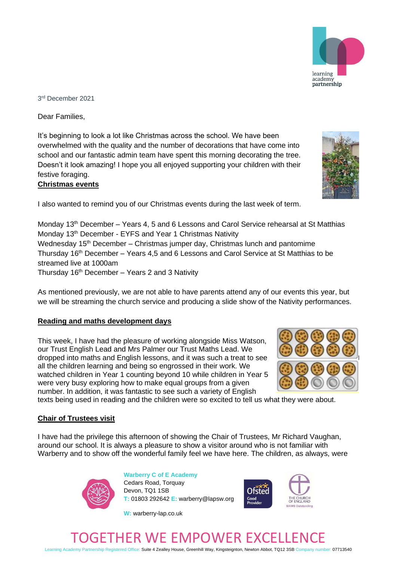3 rd December 2021

Dear Families,

It's beginning to look a lot like Christmas across the school. We have been overwhelmed with the quality and the number of decorations that have come into school and our fantastic admin team have spent this morning decorating the tree. Doesn't it look amazing! I hope you all enjoyed supporting your children with their festive foraging.

## **Christmas events**

I also wanted to remind you of our Christmas events during the last week of term.

Monday 13<sup>th</sup> December – Years 4, 5 and 6 Lessons and Carol Service rehearsal at St Matthias Monday 13th December - EYFS and Year 1 Christmas Nativity Wednesday 15<sup>th</sup> December – Christmas jumper day, Christmas lunch and pantomime Thursday 16th December – Years 4,5 and 6 Lessons and Carol Service at St Matthias to be streamed live at 1000am Thursday  $16<sup>th</sup>$  December – Years 2 and 3 Nativity

As mentioned previously, we are not able to have parents attend any of our events this year, but we will be streaming the church service and producing a slide show of the Nativity performances.

#### **Reading and maths development days**

This week, I have had the pleasure of working alongside Miss Watson, our Trust English Lead and Mrs Palmer our Trust Maths Lead. We dropped into maths and English lessons, and it was such a treat to see all the children learning and being so engrossed in their work. We watched children in Year 1 counting beyond 10 while children in Year 5 were very busy exploring how to make equal groups from a given number. In addition, it was fantastic to see such a variety of English

texts being used in reading and the children were so excited to tell us what they were about.

### **Chair of Trustees visit**

I have had the privilege this afternoon of showing the Chair of Trustees, Mr Richard Vaughan, around our school. It is always a pleasure to show a visitor around who is not familiar with Warberry and to show off the wonderful family feel we have here. The children, as always, were













# GETHER WE EMPOWER EXC

Learning Academy Partnership Registered Office: Suite 4 Zealley House, Greenhill Way, Kingsteignton, Newton Abbot, TQ12 3SB Company number: 07713540